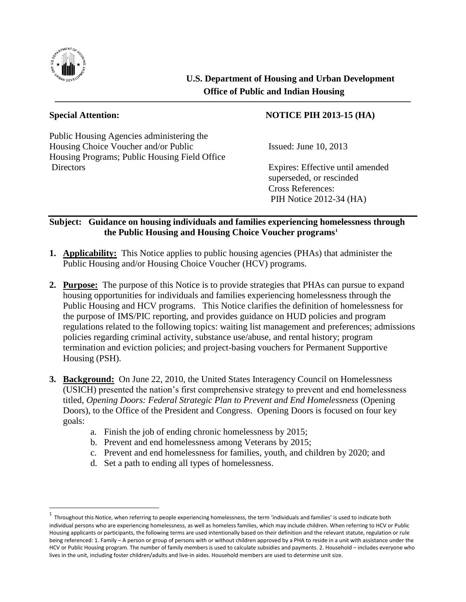

 $\overline{a}$ 

## **U.S. Department of Housing and Urban Development Office of Public and Indian Housing**

Public Housing Agencies administering the Housing Choice Voucher and/or Public Issued: June 10, 2013 Housing Programs; Public Housing Field Office Directors Expires: Effective until amended

## **Special Attention: NOTICE PIH 2013-15 (HA)**

superseded, or rescinded Cross References: PIH Notice 2012-34 (HA)

## **Subject: Guidance on housing individuals and families experiencing homelessness through the Public Housing and Housing Choice Voucher programs<sup>1</sup>**

- **1. Applicability:** This Notice applies to public housing agencies (PHAs) that administer the Public Housing and/or Housing Choice Voucher (HCV) programs.
- **2. Purpose:** The purpose of this Notice is to provide strategies that PHAs can pursue to expand housing opportunities for individuals and families experiencing homelessness through the Public Housing and HCV programs. This Notice clarifies the definition of homelessness for the purpose of IMS/PIC reporting, and provides guidance on HUD policies and program regulations related to the following topics: waiting list management and preferences; admissions policies regarding criminal activity, substance use/abuse, and rental history; program termination and eviction policies; and project-basing vouchers for Permanent Supportive Housing (PSH).
- **3. Background:** On June 22, 2010, the United States Interagency Council on Homelessness (USICH) presented the nation's first comprehensive strategy to prevent and end homelessness titled, *Opening Doors: Federal Strategic Plan to Prevent and End Homelessness* (Opening Doors), to the Office of the President and Congress. Opening Doors is focused on four key goals:
	- a. Finish the job of ending chronic homelessness by 2015;
	- b. Prevent and end homelessness among Veterans by 2015;
	- c. Prevent and end homelessness for families, youth, and children by 2020; and
	- d. Set a path to ending all types of homelessness.

 $^1$  Throughout this Notice, when referring to people experiencing homelessness, the term 'individuals and families' is used to indicate both individual persons who are experiencing homelessness, as well as homeless families, which may include children. When referring to HCV or Public Housing applicants or participants, the following terms are used intentionally based on their definition and the relevant statute, regulation or rule being referenced: 1. Family – A person or group of persons with or without children approved by a PHA to reside in a unit with assistance under the HCV or Public Housing program. The number of family members is used to calculate subsidies and payments. 2. Household – includes everyone who lives in the unit, including foster children/adults and live-in aides. Household members are used to determine unit size.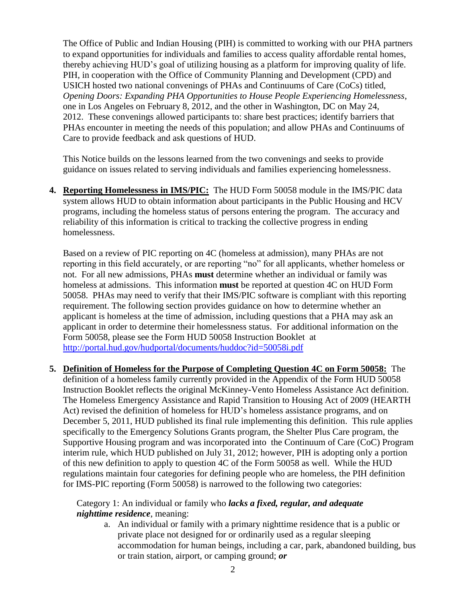The Office of Public and Indian Housing (PIH) is committed to working with our PHA partners to expand opportunities for individuals and families to access quality affordable rental homes, thereby achieving HUD's goal of utilizing housing as a platform for improving quality of life. PIH, in cooperation with the Office of Community Planning and Development (CPD) and USICH hosted two national convenings of PHAs and Continuums of Care (CoCs) titled, *Opening Doors: Expanding PHA Opportunities to House People Experiencing Homelessness*, one in Los Angeles on February 8, 2012, and the other in Washington, DC on May 24, 2012. These convenings allowed participants to: share best practices; identify barriers that PHAs encounter in meeting the needs of this population; and allow PHAs and Continuums of Care to provide feedback and ask questions of HUD.

This Notice builds on the lessons learned from the two convenings and seeks to provide guidance on issues related to serving individuals and families experiencing homelessness.

**4. Reporting Homelessness in IMS/PIC:** The HUD Form 50058 module in the IMS/PIC data system allows HUD to obtain information about participants in the Public Housing and HCV programs, including the homeless status of persons entering the program. The accuracy and reliability of this information is critical to tracking the collective progress in ending homelessness.

Based on a review of PIC reporting on 4C (homeless at admission), many PHAs are not reporting in this field accurately, or are reporting "no" for all applicants, whether homeless or not. For all new admissions, PHAs **must** determine whether an individual or family was homeless at admissions. This information **must** be reported at question 4C on HUD Form 50058. PHAs may need to verify that their IMS/PIC software is compliant with this reporting requirement. The following section provides guidance on how to determine whether an applicant is homeless at the time of admission, including questions that a PHA may ask an applicant in order to determine their homelessness status. For additional information on the Form 50058, please see the Form HUD 50058 Instruction Booklet at <http://portal.hud.gov/hudportal/documents/huddoc?id=50058i.pdf>

**5. Definition of Homeless for the Purpose of Completing Question 4C on Form 50058:** The definition of a homeless family currently provided in the Appendix of the Form HUD 50058 Instruction Booklet reflects the original McKinney-Vento Homeless Assistance Act definition. The Homeless Emergency Assistance and Rapid Transition to Housing Act of 2009 (HEARTH Act) revised the definition of homeless for HUD's homeless assistance programs, and on December 5, 2011, HUD published its final rule implementing this definition. This rule applies specifically to the Emergency Solutions Grants program, the Shelter Plus Care program, the Supportive Housing program and was incorporated into the Continuum of Care (CoC) Program interim rule, which HUD published on July 31, 2012; however, PIH is adopting only a portion of this new definition to apply to question 4C of the Form 50058 as well. While the HUD regulations maintain four categories for defining people who are homeless, the PIH definition for IMS-PIC reporting (Form 50058) is narrowed to the following two categories:

Category 1: An individual or family who *lacks a fixed, regular, and adequate nighttime residence*, meaning:

a. An individual or family with a primary nighttime residence that is a public or private place not designed for or ordinarily used as a regular sleeping accommodation for human beings, including a car, park, abandoned building, bus or train station, airport, or camping ground; *or*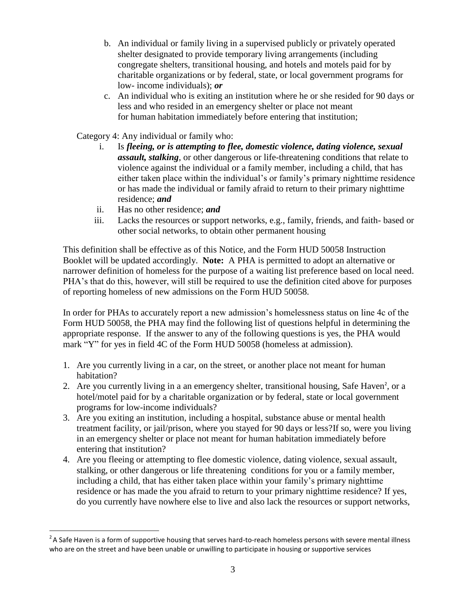- b. An individual or family living in a supervised publicly or privately operated shelter designated to provide temporary living arrangements (including congregate shelters, transitional housing, and hotels and motels paid for by charitable organizations or by federal, state, or local government programs for low- income individuals); *or*
- c. An individual who is exiting an institution where he or she resided for 90 days or less and who resided in an emergency shelter or place not meant for human habitation immediately before entering that institution;
- Category 4: Any individual or family who:
	- i. Is *fleeing, or is attempting to flee, domestic violence, dating violence, sexual assault, stalking*, or other dangerous or life-threatening conditions that relate to violence against the individual or a family member, including a child, that has either taken place within the individual's or family's primary nighttime residence or has made the individual or family afraid to return to their primary nighttime residence; *and*
	- ii. Has no other residence; *and*

 $\overline{a}$ 

iii. Lacks the resources or support networks, e.g., family, friends, and faith- based or other social networks, to obtain other permanent housing

This definition shall be effective as of this Notice, and the Form HUD 50058 Instruction Booklet will be updated accordingly. **Note:** A PHA is permitted to adopt an alternative or narrower definition of homeless for the purpose of a waiting list preference based on local need. PHA's that do this, however, will still be required to use the definition cited above for purposes of reporting homeless of new admissions on the Form HUD 50058.

In order for PHAs to accurately report a new admission's homelessness status on line 4c of the Form HUD 50058, the PHA may find the following list of questions helpful in determining the appropriate response. If the answer to any of the following questions is yes, the PHA would mark "Y" for yes in field 4C of the Form HUD 50058 (homeless at admission).

- 1. Are you currently living in a car, on the street, or another place not meant for human habitation?
- 2. Are you currently living in a an emergency shelter, transitional housing, Safe Haven<sup>2</sup>, or a hotel/motel paid for by a charitable organization or by federal, state or local government programs for low-income individuals?
- 3. Are you exiting an institution, including a hospital, substance abuse or mental health treatment facility, or jail/prison, where you stayed for 90 days or less?If so, were you living in an emergency shelter or place not meant for human habitation immediately before entering that institution?
- 4. Are you fleeing or attempting to flee domestic violence, dating violence, sexual assault, stalking, or other dangerous or life threatening conditions for you or a family member, including a child, that has either taken place within your family's primary nighttime residence or has made the you afraid to return to your primary nighttime residence? If yes, do you currently have nowhere else to live and also lack the resources or support networks,

 $2$ A Safe Haven is a form of supportive housing that serves hard-to-reach homeless persons with severe mental illness who are on the street and have been unable or unwilling to participate in housing or supportive services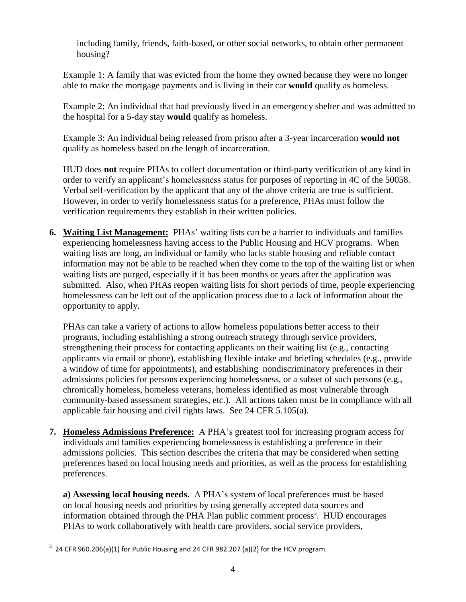including family, friends, faith-based, or other social networks, to obtain other permanent housing?

Example 1: A family that was evicted from the home they owned because they were no longer able to make the mortgage payments and is living in their car **would** qualify as homeless.

Example 2: An individual that had previously lived in an emergency shelter and was admitted to the hospital for a 5-day stay **would** qualify as homeless.

Example 3: An individual being released from prison after a 3-year incarceration **would not** qualify as homeless based on the length of incarceration.

HUD does **not** require PHAs to collect documentation or third-party verification of any kind in order to verify an applicant's homelessness status for purposes of reporting in 4C of the 50058. Verbal self-verification by the applicant that any of the above criteria are true is sufficient. However, in order to verify homelessness status for a preference, PHAs must follow the verification requirements they establish in their written policies.

**6. Waiting List Management:** PHAs' waiting lists can be a barrier to individuals and families experiencing homelessness having access to the Public Housing and HCV programs. When waiting lists are long, an individual or family who lacks stable housing and reliable contact information may not be able to be reached when they come to the top of the waiting list or when waiting lists are purged, especially if it has been months or years after the application was submitted. Also, when PHAs reopen waiting lists for short periods of time, people experiencing homelessness can be left out of the application process due to a lack of information about the opportunity to apply.

PHAs can take a variety of actions to allow homeless populations better access to their programs, including establishing a strong outreach strategy through service providers, strengthening their process for contacting applicants on their waiting list (e.g., contacting applicants via email or phone), establishing flexible intake and briefing schedules (e.g., provide a window of time for appointments), and establishing nondiscriminatory preferences in their admissions policies for persons experiencing homelessness, or a subset of such persons (e.g., chronically homeless, homeless veterans, homeless identified as most vulnerable through community-based assessment strategies, etc.). All actions taken must be in compliance with all applicable fair housing and civil rights laws. See 24 CFR 5.105(a).

**7. Homeless Admissions Preference:** A PHA's greatest tool for increasing program access for individuals and families experiencing homelessness is establishing a preference in their admissions policies. This section describes the criteria that may be considered when setting preferences based on local housing needs and priorities, as well as the process for establishing preferences.

**a) Assessing local housing needs.** A PHA's system of local preferences must be based on local housing needs and priorities by using generally accepted data sources and information obtained through the PHA Plan public comment process<sup>3</sup>. HUD encourages PHAs to work collaboratively with health care providers, social service providers,

 $\overline{a}$ 

 $3$  24 CFR 960.206(a)(1) for Public Housing and 24 CFR 982.207 (a)(2) for the HCV program.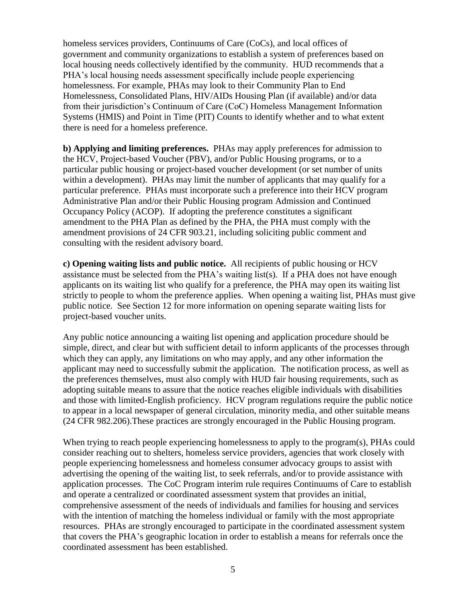homeless services providers, Continuums of Care (CoCs), and local offices of government and community organizations to establish a system of preferences based on local housing needs collectively identified by the community. HUD recommends that a PHA's local housing needs assessment specifically include people experiencing homelessness. For example, PHAs may look to their Community Plan to End Homelessness, Consolidated Plans, HIV/AIDs Housing Plan (if available) and/or data from their jurisdiction's Continuum of Care (CoC) Homeless Management Information Systems (HMIS) and Point in Time (PIT) Counts to identify whether and to what extent there is need for a homeless preference.

**b) Applying and limiting preferences.** PHAs may apply preferences for admission to the HCV, Project-based Voucher (PBV), and/or Public Housing programs, or to a particular public housing or project-based voucher development (or set number of units within a development). PHAs may limit the number of applicants that may qualify for a particular preference. PHAs must incorporate such a preference into their HCV program Administrative Plan and/or their Public Housing program Admission and Continued Occupancy Policy (ACOP). If adopting the preference constitutes a significant amendment to the PHA Plan as defined by the PHA, the PHA must comply with the amendment provisions of 24 CFR 903.21, including soliciting public comment and consulting with the resident advisory board.

**c) Opening waiting lists and public notice.** All recipients of public housing or HCV assistance must be selected from the PHA's waiting list(s). If a PHA does not have enough applicants on its waiting list who qualify for a preference, the PHA may open its waiting list strictly to people to whom the preference applies. When opening a waiting list, PHAs must give public notice. See Section 12 for more information on opening separate waiting lists for project-based voucher units.

Any public notice announcing a waiting list opening and application procedure should be simple, direct, and clear but with sufficient detail to inform applicants of the processes through which they can apply, any limitations on who may apply, and any other information the applicant may need to successfully submit the application. The notification process, as well as the preferences themselves, must also comply with HUD fair housing requirements, such as adopting suitable means to assure that the notice reaches eligible individuals with disabilities and those with limited-English proficiency. HCV program regulations require the public notice to appear in a local newspaper of general circulation, minority media, and other suitable means (24 CFR 982.206).These practices are strongly encouraged in the Public Housing program.

When trying to reach people experiencing homelessness to apply to the program(s), PHAs could consider reaching out to shelters, homeless service providers, agencies that work closely with people experiencing homelessness and homeless consumer advocacy groups to assist with advertising the opening of the waiting list, to seek referrals, and/or to provide assistance with application processes. The CoC Program interim rule requires Continuums of Care to establish and operate a centralized or coordinated assessment system that provides an initial, comprehensive assessment of the needs of individuals and families for housing and services with the intention of matching the homeless individual or family with the most appropriate resources. PHAs are strongly encouraged to participate in the coordinated assessment system that covers the PHA's geographic location in order to establish a means for referrals once the coordinated assessment has been established.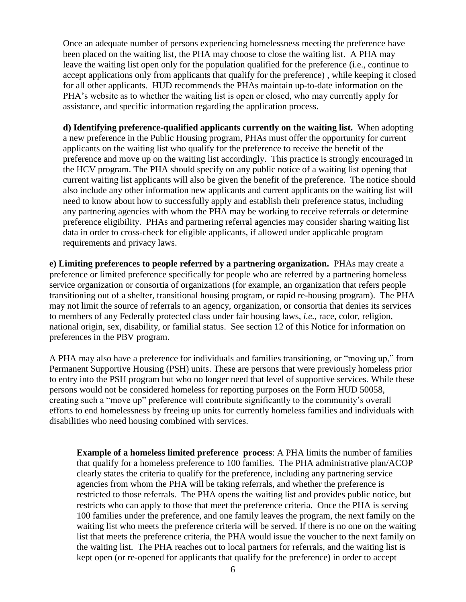Once an adequate number of persons experiencing homelessness meeting the preference have been placed on the waiting list, the PHA may choose to close the waiting list. A PHA may leave the waiting list open only for the population qualified for the preference (i.e., continue to accept applications only from applicants that qualify for the preference) , while keeping it closed for all other applicants. HUD recommends the PHAs maintain up-to-date information on the PHA's website as to whether the waiting list is open or closed, who may currently apply for assistance, and specific information regarding the application process.

**d) Identifying preference-qualified applicants currently on the waiting list.** When adopting a new preference in the Public Housing program, PHAs must offer the opportunity for current applicants on the waiting list who qualify for the preference to receive the benefit of the preference and move up on the waiting list accordingly. This practice is strongly encouraged in the HCV program. The PHA should specify on any public notice of a waiting list opening that current waiting list applicants will also be given the benefit of the preference. The notice should also include any other information new applicants and current applicants on the waiting list will need to know about how to successfully apply and establish their preference status, including any partnering agencies with whom the PHA may be working to receive referrals or determine preference eligibility. PHAs and partnering referral agencies may consider sharing waiting list data in order to cross-check for eligible applicants, if allowed under applicable program requirements and privacy laws.

**e) Limiting preferences to people referred by a partnering organization.** PHAs may create a preference or limited preference specifically for people who are referred by a partnering homeless service organization or consortia of organizations (for example, an organization that refers people transitioning out of a shelter, transitional housing program, or rapid re-housing program). The PHA may not limit the source of referrals to an agency, organization, or consortia that denies its services to members of any Federally protected class under fair housing laws, *i.e.*, race, color, religion, national origin, sex, disability, or familial status. See section 12 of this Notice for information on preferences in the PBV program.

A PHA may also have a preference for individuals and families transitioning, or "moving up," from Permanent Supportive Housing (PSH) units. These are persons that were previously homeless prior to entry into the PSH program but who no longer need that level of supportive services. While these persons would not be considered homeless for reporting purposes on the Form HUD 50058, creating such a "move up" preference will contribute significantly to the community's overall efforts to end homelessness by freeing up units for currently homeless families and individuals with disabilities who need housing combined with services.

**Example of a homeless limited preference process**: A PHA limits the number of families that qualify for a homeless preference to 100 families. The PHA administrative plan/ACOP clearly states the criteria to qualify for the preference, including any partnering service agencies from whom the PHA will be taking referrals, and whether the preference is restricted to those referrals. The PHA opens the waiting list and provides public notice, but restricts who can apply to those that meet the preference criteria. Once the PHA is serving 100 families under the preference, and one family leaves the program, the next family on the waiting list who meets the preference criteria will be served. If there is no one on the waiting list that meets the preference criteria, the PHA would issue the voucher to the next family on the waiting list. The PHA reaches out to local partners for referrals, and the waiting list is kept open (or re-opened for applicants that qualify for the preference) in order to accept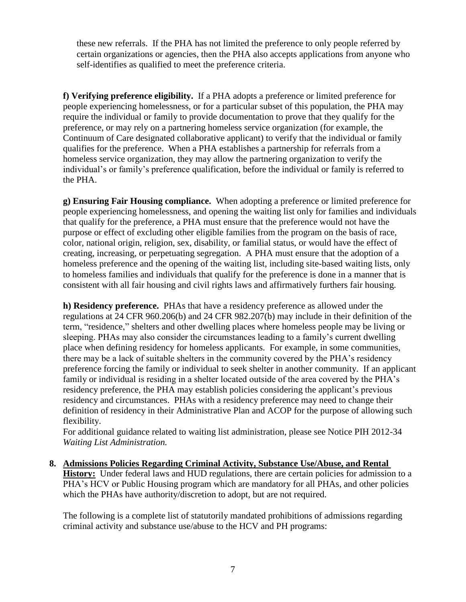these new referrals. If the PHA has not limited the preference to only people referred by certain organizations or agencies, then the PHA also accepts applications from anyone who self-identifies as qualified to meet the preference criteria.

**f) Verifying preference eligibility.** If a PHA adopts a preference or limited preference for people experiencing homelessness, or for a particular subset of this population, the PHA may require the individual or family to provide documentation to prove that they qualify for the preference, or may rely on a partnering homeless service organization (for example, the Continuum of Care designated collaborative applicant) to verify that the individual or family qualifies for the preference. When a PHA establishes a partnership for referrals from a homeless service organization, they may allow the partnering organization to verify the individual's or family's preference qualification, before the individual or family is referred to the PHA.

**g) Ensuring Fair Housing compliance.** When adopting a preference or limited preference for people experiencing homelessness, and opening the waiting list only for families and individuals that qualify for the preference, a PHA must ensure that the preference would not have the purpose or effect of excluding other eligible families from the program on the basis of race, color, national origin, religion, sex, disability, or familial status, or would have the effect of creating, increasing, or perpetuating segregation. A PHA must ensure that the adoption of a homeless preference and the opening of the waiting list, including site-based waiting lists, only to homeless families and individuals that qualify for the preference is done in a manner that is consistent with all fair housing and civil rights laws and affirmatively furthers fair housing.

**h) Residency preference.** PHAs that have a residency preference as allowed under the regulations at 24 CFR 960.206(b) and 24 CFR 982.207(b) may include in their definition of the term, "residence," shelters and other dwelling places where homeless people may be living or sleeping. PHAs may also consider the circumstances leading to a family's current dwelling place when defining residency for homeless applicants. For example, in some communities, there may be a lack of suitable shelters in the community covered by the PHA's residency preference forcing the family or individual to seek shelter in another community. If an applicant family or individual is residing in a shelter located outside of the area covered by the PHA's residency preference, the PHA may establish policies considering the applicant's previous residency and circumstances. PHAs with a residency preference may need to change their definition of residency in their Administrative Plan and ACOP for the purpose of allowing such flexibility.

For additional guidance related to waiting list administration, please see Notice PIH 2012-34 *Waiting List Administration.*

**8. Admissions Policies Regarding Criminal Activity, Substance Use/Abuse, and Rental History:** Under federal laws and HUD regulations, there are certain policies for admission to a PHA's HCV or Public Housing program which are mandatory for all PHAs, and other policies which the PHAs have authority/discretion to adopt, but are not required.

The following is a complete list of statutorily mandated prohibitions of admissions regarding criminal activity and substance use/abuse to the HCV and PH programs: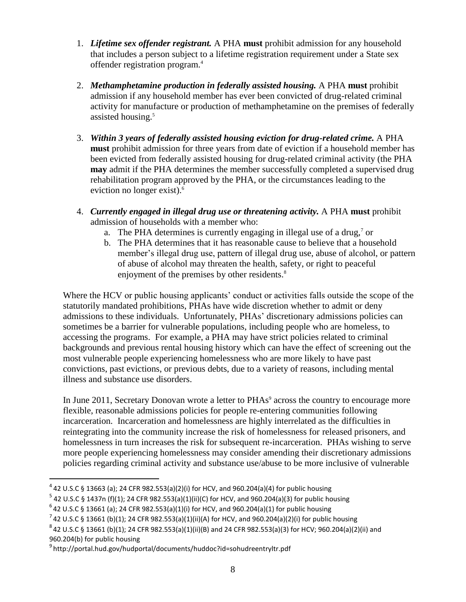- 1. *Lifetime sex offender registrant.* A PHA **must** prohibit admission for any household that includes a person subject to a lifetime registration requirement under a State sex offender registration program.<sup>4</sup>
- 2. *Methamphetamine production in federally assisted housing.* A PHA **must** prohibit admission if any household member has ever been convicted of drug-related criminal activity for manufacture or production of methamphetamine on the premises of federally assisted housing. 5
- 3. *Within 3 years of federally assisted housing eviction for drug-related crime.* A PHA **must** prohibit admission for three years from date of eviction if a household member has been evicted from federally assisted housing for drug-related criminal activity (the PHA **may** admit if the PHA determines the member successfully completed a supervised drug rehabilitation program approved by the PHA, or the circumstances leading to the eviction no longer exist). 6
- 4. *Currently engaged in illegal drug use or threatening activity.* A PHA **must** prohibit admission of households with a member who:
	- a. The PHA determines is currently engaging in illegal use of a drug, $\frac{7}{1}$  or
	- b. The PHA determines that it has reasonable cause to believe that a household member's illegal drug use, pattern of illegal drug use, abuse of alcohol, or pattern of abuse of alcohol may threaten the health, safety, or right to peaceful enjoyment of the premises by other residents.<sup>8</sup>

Where the HCV or public housing applicants' conduct or activities falls outside the scope of the statutorily mandated prohibitions, PHAs have wide discretion whether to admit or deny admissions to these individuals. Unfortunately, PHAs' discretionary admissions policies can sometimes be a barrier for vulnerable populations, including people who are homeless, to accessing the programs. For example, a PHA may have strict policies related to criminal backgrounds and previous rental housing history which can have the effect of screening out the most vulnerable people experiencing homelessness who are more likely to have past convictions, past evictions, or previous debts, due to a variety of reasons, including mental illness and substance use disorders.

In June 2011, Secretary Donovan wrote a letter to PHAs<sup>9</sup> across the country to encourage more flexible, reasonable admissions policies for people re-entering communities following incarceration. Incarceration and homelessness are highly interrelated as the difficulties in reintegrating into the community increase the risk of homelessness for released prisoners, and homelessness in turn increases the risk for subsequent re-incarceration. PHAs wishing to serve more people experiencing homelessness may consider amending their discretionary admissions policies regarding criminal activity and substance use/abuse to be more inclusive of vulnerable

 $\overline{a}$ 

 $^4$  42 U.S.C § 13663 (a); 24 CFR 982.553(a)(2)(i) for HCV, and 960.204(a)(4) for public housing

 $^5$  42 U.S.C § 1437n (f)(1); 24 CFR 982.553(a)(1)(ii)(C) for HCV, and 960.204(a)(3) for public housing

 $^6$  42 U.S.C § 13661 (a); 24 CFR 982.553(a)(1)(i) for HCV, and 960.204(a)(1) for public housing

 $^{7}$  42 U.S.C § 13661 (b)(1); 24 CFR 982.553(a)(1)(ii)(A) for HCV, and 960.204(a)(2)(i) for public housing

 $^8$ 42 U.S.C § 13661 (b)(1); 24 CFR 982.553(a)(1)(ii)(B) and 24 CFR 982.553(a)(3) for HCV; 960.204(a)(2)(ii) and 960.204(b) for public housing

<sup>&</sup>lt;sup>9</sup>http://portal.hud.gov/hudportal/documents/huddoc?id=sohudreentryltr.pdf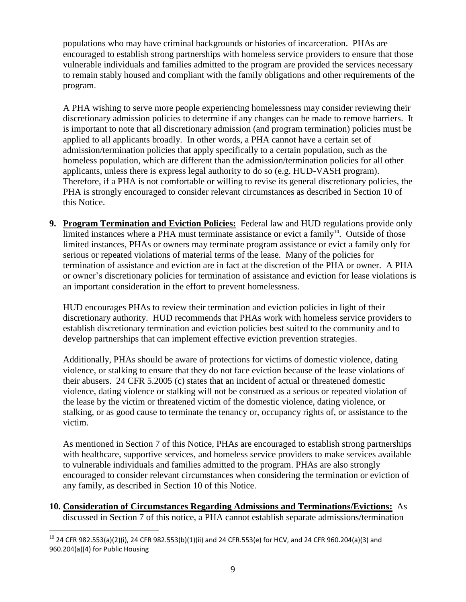populations who may have criminal backgrounds or histories of incarceration. PHAs are encouraged to establish strong partnerships with homeless service providers to ensure that those vulnerable individuals and families admitted to the program are provided the services necessary to remain stably housed and compliant with the family obligations and other requirements of the program.

A PHA wishing to serve more people experiencing homelessness may consider reviewing their discretionary admission policies to determine if any changes can be made to remove barriers. It is important to note that all discretionary admission (and program termination) policies must be applied to all applicants broadly. In other words, a PHA cannot have a certain set of admission/termination policies that apply specifically to a certain population, such as the homeless population, which are different than the admission/termination policies for all other applicants, unless there is express legal authority to do so (e.g. HUD-VASH program). Therefore, if a PHA is not comfortable or willing to revise its general discretionary policies, the PHA is strongly encouraged to consider relevant circumstances as described in Section 10 of this Notice.

**9. Program Termination and Eviction Policies:** Federal law and HUD regulations provide only limited instances where a PHA must terminate assistance or evict a family<sup>10</sup>. Outside of those limited instances, PHAs or owners may terminate program assistance or evict a family only for serious or repeated violations of material terms of the lease. Many of the policies for termination of assistance and eviction are in fact at the discretion of the PHA or owner. A PHA or owner's discretionary policies for termination of assistance and eviction for lease violations is an important consideration in the effort to prevent homelessness.

HUD encourages PHAs to review their termination and eviction policies in light of their discretionary authority. HUD recommends that PHAs work with homeless service providers to establish discretionary termination and eviction policies best suited to the community and to develop partnerships that can implement effective eviction prevention strategies.

Additionally, PHAs should be aware of protections for victims of domestic violence, dating violence, or stalking to ensure that they do not face eviction because of the lease violations of their abusers. 24 CFR 5.2005 (c) states that an incident of actual or threatened domestic violence, dating violence or stalking will not be construed as a serious or repeated violation of the lease by the victim or threatened victim of the domestic violence, dating violence, or stalking, or as good cause to terminate the tenancy or, occupancy rights of, or assistance to the victim.

As mentioned in Section 7 of this Notice, PHAs are encouraged to establish strong partnerships with healthcare, supportive services, and homeless service providers to make services available to vulnerable individuals and families admitted to the program. PHAs are also strongly encouraged to consider relevant circumstances when considering the termination or eviction of any family, as described in Section 10 of this Notice.

**10. Consideration of Circumstances Regarding Admissions and Terminations/Evictions:** As discussed in Section 7 of this notice, a PHA cannot establish separate admissions/termination

 $\overline{a}$  $10$  24 CFR 982.553(a)(2)(i), 24 CFR 982.553(b)(1)(ii) and 24 CFR.553(e) for HCV, and 24 CFR 960.204(a)(3) and 960.204(a)(4) for Public Housing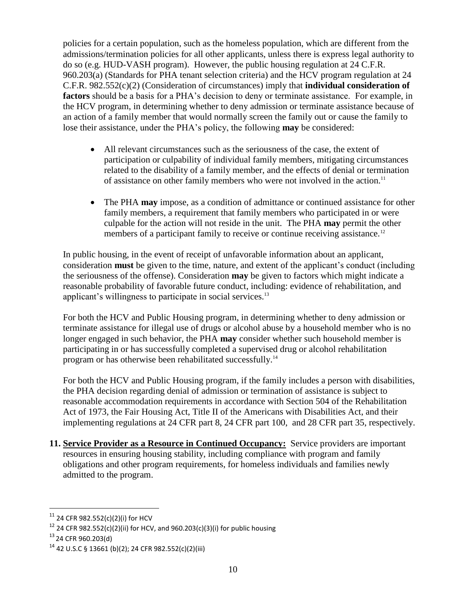policies for a certain population, such as the homeless population, which are different from the admissions/termination policies for all other applicants, unless there is express legal authority to do so (e.g. HUD-VASH program). However, the public housing regulation at 24 C.F.R. 960.203(a) (Standards for PHA tenant selection criteria) and the HCV program regulation at 24 C.F.R. 982.552(c)(2) (Consideration of circumstances) imply that **individual consideration of factors** should be a basis for a PHA's decision to deny or terminate assistance. For example, in the HCV program, in determining whether to deny admission or terminate assistance because of an action of a family member that would normally screen the family out or cause the family to lose their assistance, under the PHA's policy, the following **may** be considered:

- All relevant circumstances such as the seriousness of the case, the extent of participation or culpability of individual family members, mitigating circumstances related to the disability of a family member, and the effects of denial or termination of assistance on other family members who were not involved in the action.<sup>11</sup>
- The PHA **may** impose, as a condition of admittance or continued assistance for other family members, a requirement that family members who participated in or were culpable for the action will not reside in the unit. The PHA **may** permit the other members of a participant family to receive or continue receiving assistance.<sup>12</sup>

In public housing, in the event of receipt of unfavorable information about an applicant, consideration **must** be given to the time, nature, and extent of the applicant's conduct (including the seriousness of the offense). Consideration **may** be given to factors which might indicate a reasonable probability of favorable future conduct, including: evidence of rehabilitation, and applicant's willingness to participate in social services.<sup>13</sup>

For both the HCV and Public Housing program, in determining whether to deny admission or terminate assistance for illegal use of drugs or alcohol abuse by a household member who is no longer engaged in such behavior, the PHA **may** consider whether such household member is participating in or has successfully completed a supervised drug or alcohol rehabilitation program or has otherwise been rehabilitated successfully.<sup>14</sup>

For both the HCV and Public Housing program, if the family includes a person with disabilities, the PHA decision regarding denial of admission or termination of assistance is subject to reasonable accommodation requirements in accordance with Section 504 of the Rehabilitation Act of 1973, the Fair Housing Act, Title II of the Americans with Disabilities Act, and their implementing regulations at 24 CFR part 8, 24 CFR part 100, and 28 CFR part 35, respectively.

**11. Service Provider as a Resource in Continued Occupancy:** Service providers are important resources in ensuring housing stability, including compliance with program and family obligations and other program requirements, for homeless individuals and families newly admitted to the program.

 $\overline{a}$ 

 $11$  24 CFR 982.552(c)(2)(i) for HCV

<sup>&</sup>lt;sup>12</sup> 24 CFR 982.552(c)(2)(ii) for HCV, and 960.203(c)(3)(i) for public housing

<sup>13</sup> 24 CFR 960.203(d)

<sup>14</sup> 42 U.S.C § 13661 (b)(2); 24 CFR 982.552(c)(2)(iii)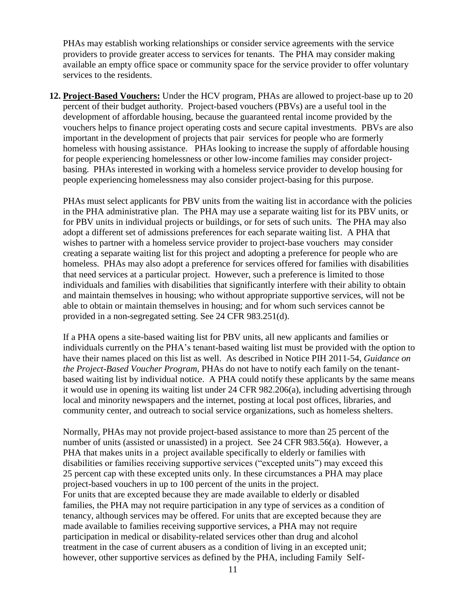PHAs may establish working relationships or consider service agreements with the service providers to provide greater access to services for tenants. The PHA may consider making available an empty office space or community space for the service provider to offer voluntary services to the residents.

**12. Project-Based Vouchers:** Under the HCV program, PHAs are allowed to project-base up to 20 percent of their budget authority. Project-based vouchers (PBVs) are a useful tool in the development of affordable housing, because the guaranteed rental income provided by the vouchers helps to finance project operating costs and secure capital investments. PBVs are also important in the development of projects that pair services for people who are formerly homeless with housing assistance. PHAs looking to increase the supply of affordable housing for people experiencing homelessness or other low-income families may consider projectbasing. PHAs interested in working with a homeless service provider to develop housing for people experiencing homelessness may also consider project-basing for this purpose.

PHAs must select applicants for PBV units from the waiting list in accordance with the policies in the PHA administrative plan. The PHA may use a separate waiting list for its PBV units, or for PBV units in individual projects or buildings, or for sets of such units. The PHA may also adopt a different set of admissions preferences for each separate waiting list. A PHA that wishes to partner with a homeless service provider to project-base vouchers may consider creating a separate waiting list for this project and adopting a preference for people who are homeless. PHAs may also adopt a preference for services offered for families with disabilities that need services at a particular project. However, such a preference is limited to those individuals and families with disabilities that significantly interfere with their ability to obtain and maintain themselves in housing; who without appropriate supportive services, will not be able to obtain or maintain themselves in housing; and for whom such services cannot be provided in a non-segregated setting. See 24 CFR 983.251(d).

If a PHA opens a site-based waiting list for PBV units, all new applicants and families or individuals currently on the PHA's tenant-based waiting list must be provided with the option to have their names placed on this list as well. As described in Notice PIH 2011-54, *Guidance on the Project-Based Voucher Program,* PHAs do not have to notify each family on the tenantbased waiting list by individual notice. A PHA could notify these applicants by the same means it would use in opening its waiting list under 24 CFR 982.206(a), including advertising through local and minority newspapers and the internet, posting at local post offices, libraries, and community center, and outreach to social service organizations, such as homeless shelters.

Normally, PHAs may not provide project-based assistance to more than 25 percent of the number of units (assisted or unassisted) in a project. See 24 CFR 983.56(a). However, a PHA that makes units in a project available specifically to elderly or families with disabilities or families receiving supportive services ("excepted units") may exceed this 25 percent cap with these excepted units only. In these circumstances a PHA may place project-based vouchers in up to 100 percent of the units in the project. For units that are excepted because they are made available to elderly or disabled families, the PHA may not require participation in any type of services as a condition of tenancy, although services may be offered. For units that are excepted because they are made available to families receiving supportive services, a PHA may not require participation in medical or disability-related services other than drug and alcohol treatment in the case of current abusers as a condition of living in an excepted unit; however, other supportive services as defined by the PHA, including Family Self